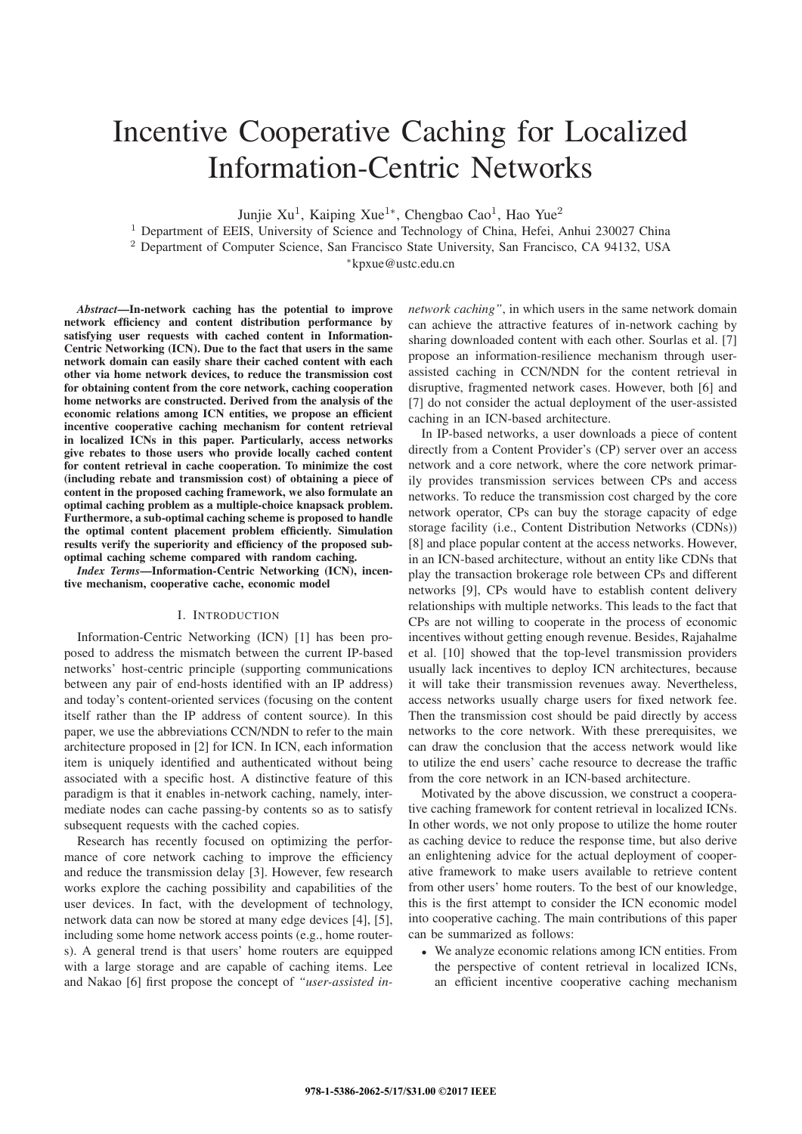# Incentive Cooperative Caching for Localized Information-Centric Networks

Junjie Xu<sup>1</sup>, Kaiping Xue<sup>1∗</sup>, Chengbao Cao<sup>1</sup>, Hao Yue<sup>2</sup>

<sup>1</sup> Department of EEIS, University of Science and Technology of China, Hefei, Anhui 230027 China

<sup>2</sup> Department of Computer Science, San Francisco State University, San Francisco, CA 94132, USA

<sup>∗</sup>kpxue@ustc.edu.cn

*Abstract*—In-network caching has the potential to improve network efficiency and content distribution performance by satisfying user requests with cached content in Information-Centric Networking (ICN). Due to the fact that users in the same network domain can easily share their cached content with each other via home network devices, to reduce the transmission cost for obtaining content from the core network, caching cooperation home networks are constructed. Derived from the analysis of the economic relations among ICN entities, we propose an efficient incentive cooperative caching mechanism for content retrieval in localized ICNs in this paper. Particularly, access networks give rebates to those users who provide locally cached content for content retrieval in cache cooperation. To minimize the cost (including rebate and transmission cost) of obtaining a piece of content in the proposed caching framework, we also formulate an optimal caching problem as a multiple-choice knapsack problem. Furthermore, a sub-optimal caching scheme is proposed to handle the optimal content placement problem efficiently. Simulation results verify the superiority and efficiency of the proposed suboptimal caching scheme compared with random caching.

*Index Terms*—Information-Centric Networking (ICN), incentive mechanism, cooperative cache, economic model

# I. INTRODUCTION

Information-Centric Networking (ICN) [1] has been proposed to address the mismatch between the current IP-based networks' host-centric principle (supporting communications between any pair of end-hosts identified with an IP address) and today's content-oriented services (focusing on the content itself rather than the IP address of content source). In this paper, we use the abbreviations CCN/NDN to refer to the main architecture proposed in [2] for ICN. In ICN, each information item is uniquely identified and authenticated without being associated with a specific host. A distinctive feature of this paradigm is that it enables in-network caching, namely, intermediate nodes can cache passing-by contents so as to satisfy subsequent requests with the cached copies.

Research has recently focused on optimizing the performance of core network caching to improve the efficiency and reduce the transmission delay [3]. However, few research works explore the caching possibility and capabilities of the user devices. In fact, with the development of technology, network data can now be stored at many edge devices [4], [5], including some home network access points (e.g., home routers). A general trend is that users' home routers are equipped with a large storage and are capable of caching items. Lee and Nakao [6] first propose the concept of *"user-assisted in-* *network caching"*, in which users in the same network domain can achieve the attractive features of in-network caching by sharing downloaded content with each other. Sourlas et al. [7] propose an information-resilience mechanism through userassisted caching in CCN/NDN for the content retrieval in disruptive, fragmented network cases. However, both [6] and [7] do not consider the actual deployment of the user-assisted caching in an ICN-based architecture.

In IP-based networks, a user downloads a piece of content directly from a Content Provider's (CP) server over an access network and a core network, where the core network primarily provides transmission services between CPs and access networks. To reduce the transmission cost charged by the core network operator, CPs can buy the storage capacity of edge storage facility (i.e., Content Distribution Networks (CDNs)) [8] and place popular content at the access networks. However, in an ICN-based architecture, without an entity like CDNs that play the transaction brokerage role between CPs and different networks [9], CPs would have to establish content delivery relationships with multiple networks. This leads to the fact that CPs are not willing to cooperate in the process of economic incentives without getting enough revenue. Besides, Rajahalme et al. [10] showed that the top-level transmission providers usually lack incentives to deploy ICN architectures, because it will take their transmission revenues away. Nevertheless, access networks usually charge users for fixed network fee. Then the transmission cost should be paid directly by access networks to the core network. With these prerequisites, we can draw the conclusion that the access network would like to utilize the end users' cache resource to decrease the traffic from the core network in an ICN-based architecture.

Motivated by the above discussion, we construct a cooperative caching framework for content retrieval in localized ICNs. In other words, we not only propose to utilize the home router as caching device to reduce the response time, but also derive an enlightening advice for the actual deployment of cooperative framework to make users available to retrieve content from other users' home routers. To the best of our knowledge, this is the first attempt to consider the ICN economic model into cooperative caching. The main contributions of this paper can be summarized as follows:

• We analyze economic relations among ICN entities. From the perspective of content retrieval in localized ICNs, an efficient incentive cooperative caching mechanism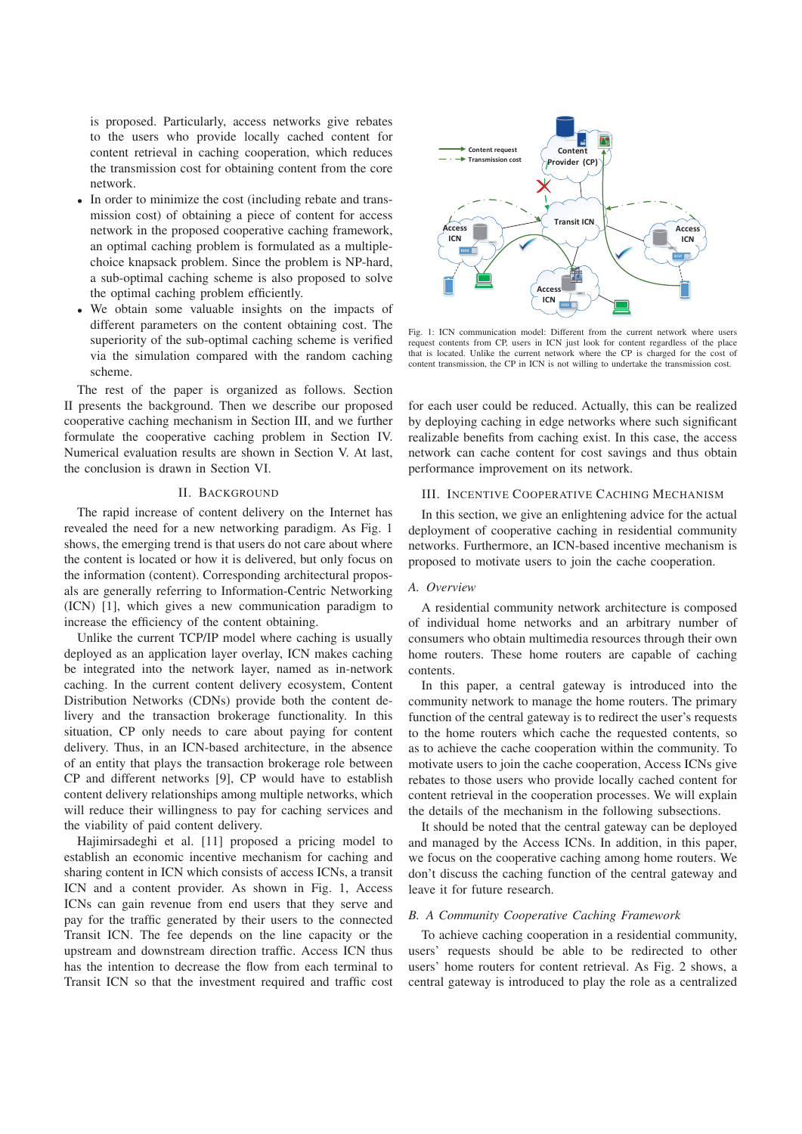is proposed. Particularly, access networks give rebates to the users who provide locally cached content for content retrieval in caching cooperation, which reduces the transmission cost for obtaining content from the core network.

- In order to minimize the cost (including rebate and transmission cost) of obtaining a piece of content for access network in the proposed cooperative caching framework, an optimal caching problem is formulated as a multiplechoice knapsack problem. Since the problem is NP-hard, a sub-optimal caching scheme is also proposed to solve the optimal caching problem efficiently.
- We obtain some valuable insights on the impacts of different parameters on the content obtaining cost. The superiority of the sub-optimal caching scheme is verified via the simulation compared with the random caching scheme.

The rest of the paper is organized as follows. Section II presents the background. Then we describe our proposed cooperative caching mechanism in Section III, and we further formulate the cooperative caching problem in Section IV. Numerical evaluation results are shown in Section V. At last, the conclusion is drawn in Section VI.

# II. BACKGROUND

The rapid increase of content delivery on the Internet has revealed the need for a new networking paradigm. As Fig. 1 shows, the emerging trend is that users do not care about where the content is located or how it is delivered, but only focus on the information (content). Corresponding architectural proposals are generally referring to Information-Centric Networking (ICN) [1], which gives a new communication paradigm to increase the efficiency of the content obtaining.

Unlike the current TCP/IP model where caching is usually deployed as an application layer overlay, ICN makes caching be integrated into the network layer, named as in-network caching. In the current content delivery ecosystem, Content Distribution Networks (CDNs) provide both the content delivery and the transaction brokerage functionality. In this situation, CP only needs to care about paying for content delivery. Thus, in an ICN-based architecture, in the absence of an entity that plays the transaction brokerage role between CP and different networks [9], CP would have to establish content delivery relationships among multiple networks, which will reduce their willingness to pay for caching services and the viability of paid content delivery.

Hajimirsadeghi et al. [11] proposed a pricing model to establish an economic incentive mechanism for caching and sharing content in ICN which consists of access ICNs, a transit ICN and a content provider. As shown in Fig. 1, Access ICNs can gain revenue from end users that they serve and pay for the traffic generated by their users to the connected Transit ICN. The fee depends on the line capacity or the upstream and downstream direction traffic. Access ICN thus has the intention to decrease the flow from each terminal to Transit ICN so that the investment required and traffic cost



Fig. 1: ICN communication model: Different from the current network where users request contents from CP, users in ICN just look for content regardless of the place that is located. Unlike the current network where the CP is charged for the cost of content transmission, the CP in ICN is not willing to undertake the transmission cost.

for each user could be reduced. Actually, this can be realized by deploying caching in edge networks where such significant realizable benefits from caching exist. In this case, the access network can cache content for cost savings and thus obtain performance improvement on its network.

# III. INCENTIVE COOPERATIVE CACHING MECHANISM

In this section, we give an enlightening advice for the actual deployment of cooperative caching in residential community networks. Furthermore, an ICN-based incentive mechanism is proposed to motivate users to join the cache cooperation.

## *A. Overview*

A residential community network architecture is composed of individual home networks and an arbitrary number of consumers who obtain multimedia resources through their own home routers. These home routers are capable of caching contents.

In this paper, a central gateway is introduced into the community network to manage the home routers. The primary function of the central gateway is to redirect the user's requests to the home routers which cache the requested contents, so as to achieve the cache cooperation within the community. To motivate users to join the cache cooperation, Access ICNs give rebates to those users who provide locally cached content for content retrieval in the cooperation processes. We will explain the details of the mechanism in the following subsections.

It should be noted that the central gateway can be deployed and managed by the Access ICNs. In addition, in this paper, we focus on the cooperative caching among home routers. We don't discuss the caching function of the central gateway and leave it for future research.

# *B. A Community Cooperative Caching Framework*

To achieve caching cooperation in a residential community, users' requests should be able to be redirected to other users' home routers for content retrieval. As Fig. 2 shows, a central gateway is introduced to play the role as a centralized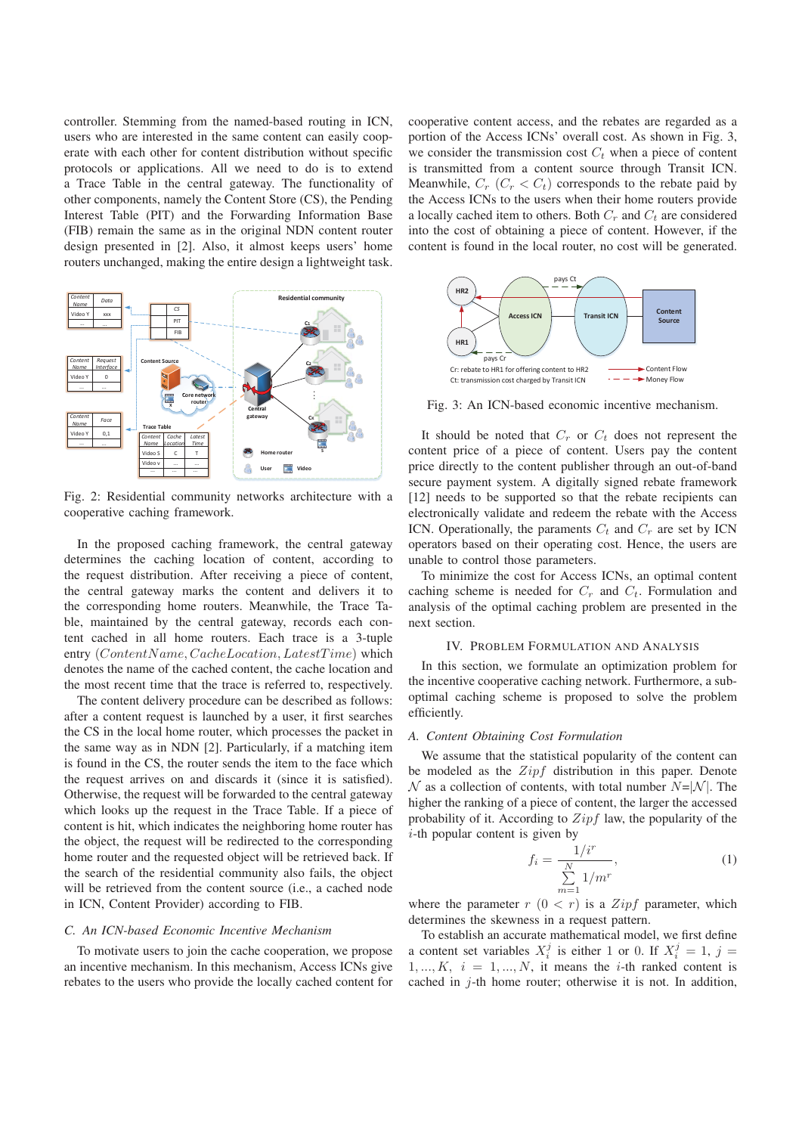controller. Stemming from the named-based routing in ICN, users who are interested in the same content can easily cooperate with each other for content distribution without specific protocols or applications. All we need to do is to extend a Trace Table in the central gateway. The functionality of other components, namely the Content Store (CS), the Pending Interest Table (PIT) and the Forwarding Information Base (FIB) remain the same as in the original NDN content router design presented in [2]. Also, it almost keeps users' home routers unchanged, making the entire design a lightweight task.



Fig. 2: Residential community networks architecture with a cooperative caching framework.

In the proposed caching framework, the central gateway determines the caching location of content, according to the request distribution. After receiving a piece of content, the central gateway marks the content and delivers it to the corresponding home routers. Meanwhile, the Trace Table, maintained by the central gateway, records each content cached in all home routers. Each trace is a 3-tuple entry  $(ContentName, CacheLocation, LatestTime)$  which denotes the name of the cached content, the cache location and the most recent time that the trace is referred to, respectively.

The content delivery procedure can be described as follows: after a content request is launched by a user, it first searches the CS in the local home router, which processes the packet in the same way as in NDN [2]. Particularly, if a matching item is found in the CS, the router sends the item to the face which the request arrives on and discards it (since it is satisfied). Otherwise, the request will be forwarded to the central gateway which looks up the request in the Trace Table. If a piece of content is hit, which indicates the neighboring home router has the object, the request will be redirected to the corresponding home router and the requested object will be retrieved back. If the search of the residential community also fails, the object will be retrieved from the content source (i.e., a cached node in ICN, Content Provider) according to FIB.

### *C. An ICN-based Economic Incentive Mechanism*

To motivate users to join the cache cooperation, we propose an incentive mechanism. In this mechanism, Access ICNs give rebates to the users who provide the locally cached content for cooperative content access, and the rebates are regarded as a portion of the Access ICNs' overall cost. As shown in Fig. 3, we consider the transmission cost  $C_t$  when a piece of content is transmitted from a content source through Transit ICN. Meanwhile,  $C_r$  ( $C_r < C_t$ ) corresponds to the rebate paid by the Access ICNs to the users when their home routers provide a locally cached item to others. Both  $C_r$  and  $C_t$  are considered into the cost of obtaining a piece of content. However, if the content is found in the local router, no cost will be generated.



Fig. 3: An ICN-based economic incentive mechanism.

It should be noted that  $C_r$  or  $C_t$  does not represent the content price of a piece of content. Users pay the content price directly to the content publisher through an out-of-band secure payment system. A digitally signed rebate framework [12] needs to be supported so that the rebate recipients can electronically validate and redeem the rebate with the Access ICN. Operationally, the paraments  $C_t$  and  $C_r$  are set by ICN operators based on their operating cost. Hence, the users are unable to control those parameters.

To minimize the cost for Access ICNs, an optimal content caching scheme is needed for  $C_r$  and  $C_t$ . Formulation and analysis of the optimal caching problem are presented in the next section.

## IV. PROBLEM FORMULATION AND ANALYSIS

In this section, we formulate an optimization problem for the incentive cooperative caching network. Furthermore, a suboptimal caching scheme is proposed to solve the problem efficiently.

#### *A. Content Obtaining Cost Formulation*

We assume that the statistical popularity of the content can be modeled as the  $Zipf$  distribution in this paper. Denote  $\mathcal N$  as a collection of contents, with total number  $N=|\mathcal N|$ . The higher the ranking of a piece of content, the larger the accessed probability of it. According to  $Zipf$  law, the popularity of the  $i$ -th popular content is given by

$$
f_i = \frac{1/i^r}{\sum\limits_{m=1}^{N} 1/m^r},\tag{1}
$$

where the parameter  $r$   $(0 < r)$  is a Zipf parameter, which determines the skewness in a request pattern.

To establish an accurate mathematical model, we first define a content set variables  $X_i^j$  is either 1 or 0. If  $X_i^j = 1$ ,  $j =$  $1, ..., K, i = 1, ..., N$ , it means the *i*-th ranked content is cached in  $i$ -th home router; otherwise it is not. In addition,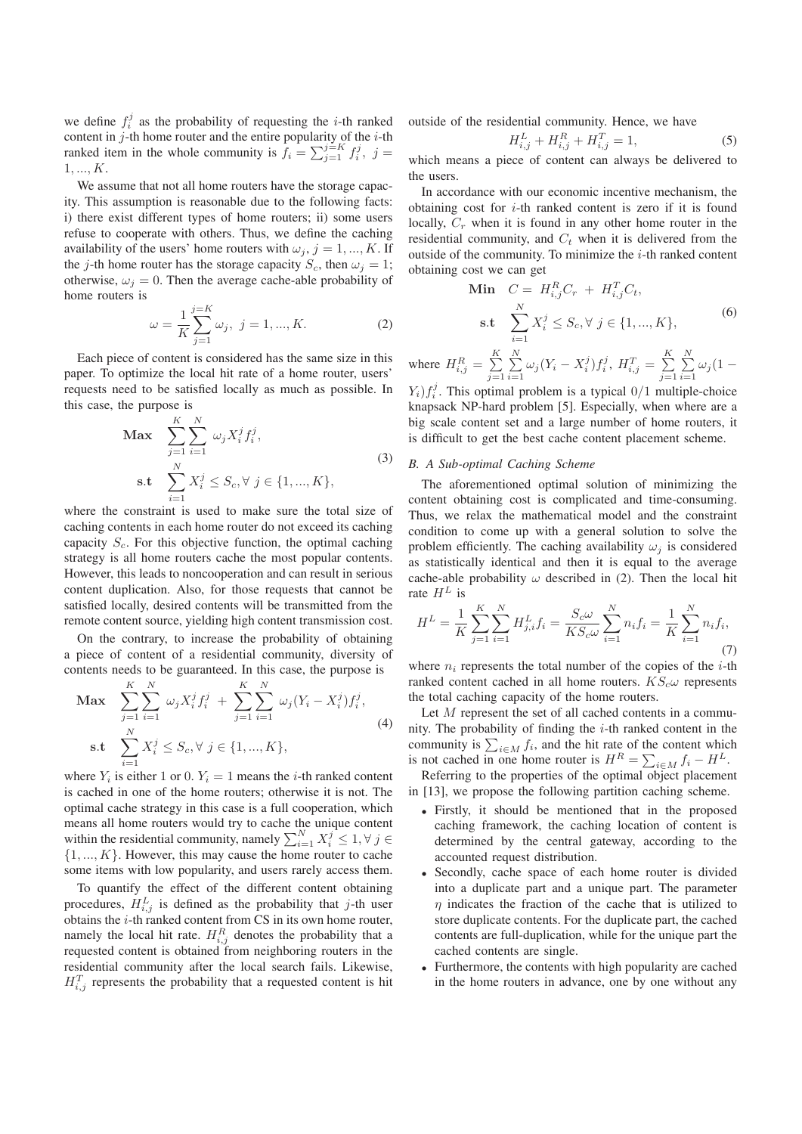we define  $f_i^j$  as the probability of requesting the *i*-th ranked content in j-th home router and the entire popularity of the  $i$ -th ranked item in the whole community is  $f_i = \sum_{j=1}^{j=K} f_i^j$ ,  $j =$  $1, ..., K$ .

We assume that not all home routers have the storage capacity. This assumption is reasonable due to the following facts: i) there exist different types of home routers; ii) some users refuse to cooperate with others. Thus, we define the caching availability of the users' home routers with  $\omega_j$ ,  $j = 1, ..., K$ . If the j-th home router has the storage capacity  $S_c$ , then  $\omega_i = 1$ ; otherwise,  $\omega_j = 0$ . Then the average cache-able probability of home routers is

$$
\omega = \frac{1}{K} \sum_{j=1}^{j=K} \omega_j, \ j = 1, ..., K.
$$
 (2)

Each piece of content is considered has the same size in this paper. To optimize the local hit rate of a home router, users' requests need to be satisfied locally as much as possible. In this case, the purpose is

$$
\begin{aligned} \mathbf{Max} \quad & \sum_{j=1}^{K} \sum_{i=1}^{N} \omega_j X_i^j f_i^j, \\ \text{s.t} \quad & \sum_{i=1}^{N} X_i^j \le S_c, \forall \ j \in \{1, ..., K\}, \end{aligned} \tag{3}
$$

where the constraint is used to make sure the total size of caching contents in each home router do not exceed its caching capacity  $S_c$ . For this objective function, the optimal caching strategy is all home routers cache the most popular contents. However, this leads to noncooperation and can result in serious content duplication. Also, for those requests that cannot be satisfied locally, desired contents will be transmitted from the remote content source, yielding high content transmission cost.

On the contrary, to increase the probability of obtaining a piece of content of a residential community, diversity of contents needs to be guaranteed. In this case, the purpose is

$$
\begin{aligned}\n\text{Max} \quad & \sum_{j=1}^{K} \sum_{i=1}^{N} \omega_j X_i^j f_i^j + \sum_{j=1}^{K} \sum_{i=1}^{N} \omega_j (Y_i - X_i^j) f_i^j, \\
\text{s.t} \quad & \sum_{i=1}^{N} X_i^j \le S_c, \forall \ j \in \{1, ..., K\}, \\
& \text{Matrix} \quad & \text{Matrix} \quad & \text{Matrix} \quad & \text{Matrix} \quad & \text{Matrix} \quad & \text{Matrix} \quad & \text{Matrix} \quad & \text{Matrix} \quad & \text{Matrix} \quad & \text{Matrix} \quad & \text{Matrix} \quad & \text{Matrix} \quad & \text{Matrix} \quad & \text{Matrix} \quad & \text{Matrix} \quad & \text{Matrix} \quad & \text{Matrix} \quad & \text{Matrix} \quad & \text{Matrix} \quad & \text{Matrix} \quad & \text{Matrix} \quad & \text{Matrix} \quad & \text{Matrix} \quad & \text{Matrix} \quad & \text{Matrix} \quad & \text{Matrix} \quad & \text{Matrix} \quad & \text{Matrix} \quad & \text{Matrix} \quad & \text{Matrix} \quad & \text{Matrix} \quad & \text{Matrix} \quad & \text{Matrix} \quad & \text{Matrix} \quad & \text{Matrix} \quad & \text{Matrix} \quad & \text{Matrix} \quad & \text{Matrix} \quad & \text{Matrix} \quad & \text{Matrix} \quad & \text{Matrix} \quad & \text{Matrix} \quad & \text{Matrix} \quad & \text{Matrix} \quad & \text{Matrix} \quad & \text{Matrix} \quad & \text{Matrix} \quad & \text{Matrix} \quad & \text{Matrix} \quad & \text{Matrix} \quad & \text{Matrix} \quad & \text{Matrix} \quad & \text{Matrix} \quad & \text{Matrix} \quad & \text{Matrix} \quad & \text{Matrix} \quad & \text{Matrix} \quad & \text{Matrix} \quad & \text{Matrix} \quad & \text{Matrix} \quad & \text{Matrix} \quad & \text{Matrix} \quad & \text{Matrix} \quad &
$$

where  $Y_i$  is either 1 or 0.  $Y_i = 1$  means the *i*-th ranked content is cached in one of the home routers; otherwise it is not. The optimal cache strategy in this case is a full cooperation, which means all home routers would try to cache the unique content within the residential community, namely  $\sum_{i=1}^{N} X_i^j \leq 1, \forall j \in$  $\{1, ..., K\}$ . However, this may cause the home router to cache some items with low popularity, and users rarely access them.

To quantify the effect of the different content obtaining procedures,  $H_{i,j}^L$  is defined as the probability that j-th user obtains the  $i$ -th ranked content from CS in its own home router, namely the local hit rate.  $H_{i,j}^R$  denotes the probability that a requested content is obtained from neighboring routers in the residential community after the local search fails. Likewise,  $H_{i,j}^T$  represents the probability that a requested content is hit outside of the residential community. Hence, we have

$$
H_{i,j}^L + H_{i,j}^R + H_{i,j}^T = 1,
$$
\n(5)

which means a piece of content can always be delivered to the users.

In accordance with our economic incentive mechanism, the obtaining cost for  $i$ -th ranked content is zero if it is found locally,  $C_r$  when it is found in any other home router in the residential community, and  $C_t$  when it is delivered from the outside of the community. To minimize the  $i$ -th ranked content obtaining cost we can get

Min 
$$
C = H_{i,j}^R C_r + H_{i,j}^T C_t
$$
,  
s.t 
$$
\sum_{i=1}^N X_i^j \leq S_c, \forall j \in \{1, ..., K\},
$$
 (6)

where  $H_{i,j}^R = \sum_{i=1}^K$  $\sum_{j=1}^K \sum_{i=1}^N$  $\sum_{i=1}^{N} \omega_j (Y_i - X_i^j) f_i^j, H_{i,j}^T = \sum_{j=1}^{K}$  $\sum_{j=1}^K \sum_{i=1}^N$  $\sum_{i=1}^{N} \omega_j (1 -$ 

 $Y_i$ ) $f_i^j$ . This optimal problem is a typical 0/1 multiple-choice knapsack NP-hard problem [5]. Especially, when where are a big scale content set and a large number of home routers, it is difficult to get the best cache content placement scheme.

#### *B. A Sub-optimal Caching Scheme*

The aforementioned optimal solution of minimizing the content obtaining cost is complicated and time-consuming. Thus, we relax the mathematical model and the constraint condition to come up with a general solution to solve the problem efficiently. The caching availability  $\omega_i$  is considered as statistically identical and then it is equal to the average cache-able probability  $\omega$  described in (2). Then the local hit rate  $H^L$  is

$$
H^{L} = \frac{1}{K} \sum_{j=1}^{K} \sum_{i=1}^{N} H_{j,i}^{L} f_{i} = \frac{S_{c} \omega}{K S_{c} \omega} \sum_{i=1}^{N} n_{i} f_{i} = \frac{1}{K} \sum_{i=1}^{N} n_{i} f_{i},
$$
\n(7)

where  $n_i$  represents the total number of the copies of the *i*-th ranked content cached in all home routers.  $KS_{c}\omega$  represents the total caching capacity of the home routers.

Let M represent the set of all cached contents in a community. The probability of finding the i-th ranked content in the community is  $\sum_{i \in M} f_i$ , and the hit rate of the content which is not cached in one home router is  $H^R = \sum_{i \in M} f_i - H^L$ .

Referring to the properties of the optimal object placement in [13], we propose the following partition caching scheme.

- Firstly, it should be mentioned that in the proposed caching framework, the caching location of content is determined by the central gateway, according to the accounted request distribution.
- Secondly, cache space of each home router is divided into a duplicate part and a unique part. The parameter  $n$  indicates the fraction of the cache that is utilized to store duplicate contents. For the duplicate part, the cached contents are full-duplication, while for the unique part the cached contents are single.
- Furthermore, the contents with high popularity are cached in the home routers in advance, one by one without any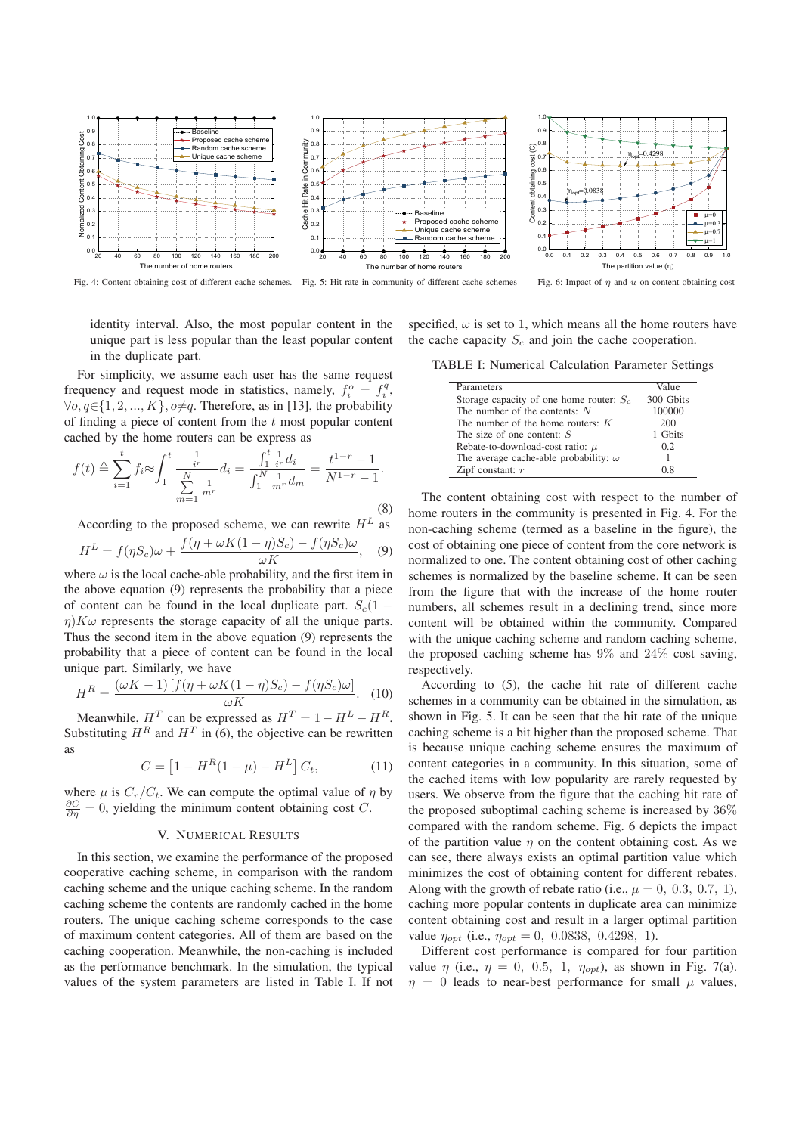

Fig. 4: Content obtaining cost of different cache schemes. Fig. 5: Hit rate in community of different cache schemes



identity interval. Also, the most popular content in the unique part is less popular than the least popular content in the duplicate part.

For simplicity, we assume each user has the same request frequency and request mode in statistics, namely,  $f_i^o = f_i^q$ ,  $∀o, q ∈ {1, 2, ..., K}, o ≠ q$ . Therefore, as in [13], the probability of finding a piece of content from the  $t$  most popular content cached by the home routers can be express as

$$
f(t) \triangleq \sum_{i=1}^{t} f_i \approx \int_1^t \frac{\frac{1}{i^r}}{\sum_{m=1}^N \frac{1}{m^r}} d_i = \frac{\int_1^t \frac{1}{i^r} d_i}{\int_1^N \frac{1}{m^r} d_m} = \frac{t^{1-r} - 1}{N^{1-r} - 1}.
$$
\n(8)

According to the proposed scheme, we can rewrite  $H^L$  as

$$
H^{L} = f(\eta S_{c})\omega + \frac{f(\eta + \omega K(1 - \eta)S_{c}) - f(\eta S_{c})\omega}{\omega K}, \quad (9)
$$

where  $\omega$  is the local cache-able probability, and the first item in the above equation (9) represents the probability that a piece of content can be found in the local duplicate part.  $S_c(1 \eta$ ) $K\omega$  represents the storage capacity of all the unique parts. Thus the second item in the above equation (9) represents the probability that a piece of content can be found in the local unique part. Similarly, we have

$$
H^{R} = \frac{(\omega K - 1) \left[ f(\eta + \omega K(1 - \eta)S_{c}) - f(\eta S_{c})\omega \right]}{\omega K}.
$$
 (10)

Meanwhile,  $H<sup>T</sup>$  can be expressed as  $H<sup>T</sup> = 1 - H<sup>L</sup> - H<sup>R</sup>$ . Substituting  $H<sup>R</sup>$  and  $H<sup>T</sup>$  in (6), the objective can be rewritten as

$$
C = [1 - H^{R}(1 - \mu) - H^{L}] C_{t}, \qquad (11)
$$

where  $\mu$  is  $C_r/C_t$ . We can compute the optimal value of  $\eta$  by  $\frac{\partial C}{\partial n} = 0$ , yielding the minimum content obtaining cost C.

## V. NUMERICAL RESULTS

In this section, we examine the performance of the proposed cooperative caching scheme, in comparison with the random caching scheme and the unique caching scheme. In the random caching scheme the contents are randomly cached in the home routers. The unique caching scheme corresponds to the case of maximum content categories. All of them are based on the caching cooperation. Meanwhile, the non-caching is included as the performance benchmark. In the simulation, the typical values of the system parameters are listed in Table I. If not

specified,  $\omega$  is set to 1, which means all the home routers have the cache capacity  $S_c$  and join the cache cooperation.

TABLE I: Numerical Calculation Parameter Settings

| Parameters                                   | Value     |
|----------------------------------------------|-----------|
| Storage capacity of one home router: $S_c$   | 300 Gbits |
| The number of the contents: $N$              | 100000    |
| The number of the home routers: $K$          | 200       |
| The size of one content: $S$                 | 1 Gbits   |
| Rebate-to-download-cost ratio: $\mu$         | 02        |
| The average cache-able probability: $\omega$ |           |
| Zipf constant: $r$                           | በ ጸ       |

The content obtaining cost with respect to the number of home routers in the community is presented in Fig. 4. For the non-caching scheme (termed as a baseline in the figure), the cost of obtaining one piece of content from the core network is normalized to one. The content obtaining cost of other caching schemes is normalized by the baseline scheme. It can be seen from the figure that with the increase of the home router numbers, all schemes result in a declining trend, since more content will be obtained within the community. Compared with the unique caching scheme and random caching scheme, the proposed caching scheme has 9% and 24% cost saving, respectively.

According to (5), the cache hit rate of different cache schemes in a community can be obtained in the simulation, as shown in Fig. 5. It can be seen that the hit rate of the unique caching scheme is a bit higher than the proposed scheme. That is because unique caching scheme ensures the maximum of content categories in a community. In this situation, some of the cached items with low popularity are rarely requested by users. We observe from the figure that the caching hit rate of the proposed suboptimal caching scheme is increased by 36% compared with the random scheme. Fig. 6 depicts the impact of the partition value  $\eta$  on the content obtaining cost. As we can see, there always exists an optimal partition value which minimizes the cost of obtaining content for different rebates. Along with the growth of rebate ratio (i.e.,  $\mu = 0$ , 0.3, 0.7, 1), caching more popular contents in duplicate area can minimize content obtaining cost and result in a larger optimal partition value  $\eta_{opt}$  (i.e.,  $\eta_{opt} = 0$ , 0.0838, 0.4298, 1).

Different cost performance is compared for four partition value  $\eta$  (i.e.,  $\eta = 0$ , 0.5, 1,  $\eta_{\text{out}}$ ), as shown in Fig. 7(a).  $\eta = 0$  leads to near-best performance for small  $\mu$  values,